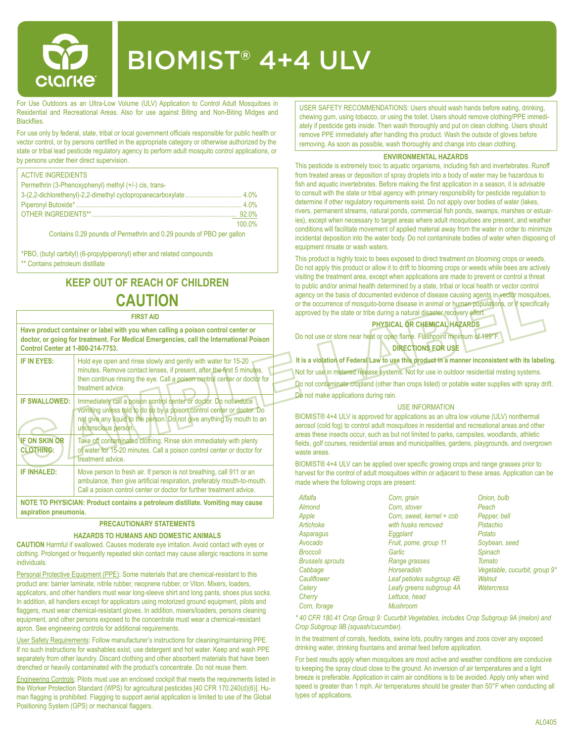

# BIOMIST® 4+4 ULV

For Use Outdoors as an Ultra-Low Volume (ULV) Application to Control Adult Mosquitoes in Residential and Recreational Areas. Also for use against Biting and Non-Biting Midges and **Blackflies** 

For use only by federal, state, tribal or local government officials responsible for public health or vector control, or by persons certified in the appropriate category or otherwise authorized by the state or tribal lead pesticide regulatory agency to perform adult mosquito control applications, or by persons under their direct supervision.

| <b>ACTIVE INGREDIENTS</b>                             |        |
|-------------------------------------------------------|--------|
| Permethrin (3-Phenoxyphenyl) methyl (+/-) cis, trans- |        |
|                                                       |        |
|                                                       |        |
|                                                       |        |
|                                                       | 100.0% |

Contains 0.29 pounds of Permethrin and 0.29 pounds of PBO per gallon

\*PBO, (butyl carbityl) (6-propylpiperonyl) ether and related compounds \*\* Contains petroleum distillate

## **KEEP OUT OF REACH OF CHILDREN CAUTION**

#### **FIRST AID**

**Have product container or label with you when calling a poison control center or doctor, or going for treatment. For Medical Emergencies, call the International Poison Control Center at 1-800-214-7753.**

| IF IN EYES:                                                                                             | Hold eye open and rinse slowly and gently with water for 15-20<br>minutes. Remove contact lenses, if present, after the first 5 minutes,<br>then continue rinsing the eye. Call a poison control center or doctor for<br>treatment advice    |  |  |  |
|---------------------------------------------------------------------------------------------------------|----------------------------------------------------------------------------------------------------------------------------------------------------------------------------------------------------------------------------------------------|--|--|--|
| <b>IF SWALLOWED:</b>                                                                                    | Immediately call a poison control center or doctor. Do not induce<br>vomiting unless told to do so by a poison control center or doctor. Do<br>not give any liquid to the person. Do not give anything by mouth to an<br>unconscious person. |  |  |  |
| <b>IF ON SKIN OR</b><br><b>CLOTHING:</b>                                                                | Take off contaminated clothing. Rinse skin immediately with plenty<br>of water for 15-20 minutes. Call a poison control center or doctor for<br>treatment advice.                                                                            |  |  |  |
| <b>IF INHALED:</b>                                                                                      | Move person to fresh air. If person is not breathing, call 911 or an<br>ambulance, then give artificial respiration, preferably mouth-to-mouth.<br>Call a poison control center or doctor for further treatment advice.                      |  |  |  |
| NOTE TO PHYSICIAN: Product contains a petroleum distillate. Vomiting may cause<br>aspiration pneumonia. |                                                                                                                                                                                                                                              |  |  |  |

#### **PRECAUTIONARY STATEMENTS**

#### **HAZARDS TO HUMANS AND DOMESTIC ANIMALS**

**CAUTION** Harmful if swallowed. Causes moderate eye irritation. Avoid contact with eyes or clothing. Prolonged or frequently repeated skin contact may cause allergic reactions in some individuals.

Personal Protective Equipment (PPE): Some materials that are chemical-resistant to this product are: barrier laminate, nitrile rubber, neoprene rubber, or Viton. Mixers, loaders, applicators, and other handlers must wear long-sleeve shirt and long pants, shoes plus socks. In addition, all handlers except for applicators using motorized ground equipment, pilots and flaggers, must wear chemical-resistant gloves. In addition, mixers/loaders, persons cleaning equipment, and other persons exposed to the concentrate must wear a chemical-resistant apron. See engineering controls for additional requirements.

User Safety Requirements: Follow manufacturer's instructions for cleaning/maintaining PPE. If no such instructions for washables exist, use detergent and hot water. Keep and wash PPE separately from other laundry. Discard clothing and other absorbent materials that have been drenched or heavily contaminated with the product's concentrate. Do not reuse them.

Engineering Controls: Pilots must use an enclosed cockpit that meets the requirements listed in the Worker Protection Standard (WPS) for agricultural pesticides [40 CFR 170.240(d)(6)]. Human flagging is prohibited. Flagging to support aerial application is limited to use of the Global Positioning System (GPS) or mechanical flaggers.

USER SAFETY RECOMMENDATIONS: Users should wash hands before eating, drinking, chewing gum, using tobacco, or using the toilet. Users should remove clothing/PPE immediately if pesticide gets inside. Then wash thoroughly and put on clean clothing. Users should remove PPE immediately after handling this product. Wash the outside of gloves before removing. As soon as possible, wash thoroughly and change into clean clothing.

#### **ENVIRONMENTAL HAZARDS**

This pesticide is extremely toxic to aquatic organisms, including fish and invertebrates. Runoff from treated areas or deposition of spray droplets into a body of water may be hazardous to fish and aquatic invertebrates. Before making the first application in a season, it is advisable to consult with the state or tribal agency with primary responsibility for pesticide regulation to determine if other regulatory requirements exist. Do not apply over bodies of water (lakes, rivers, permanent streams, natural ponds, commercial fish ponds, swamps, marshes or estuaries), except when necessary to target areas where adult mosquitoes are present, and weather conditions will facilitate movement of applied material away from the water in order to minimize incidental deposition into the water body. Do not contaminate bodies of water when disposing of equipment rinsate or wash waters.

This product is highly toxic to bees exposed to direct treatment on blooming crops or weeds. Do not apply this product or allow it to drift to blooming crops or weeds while bees are actively visiting the treatment area, except when applications are made to prevent or control a threat to public and/or animal health determined by a state, tribal or local health or vector control agency on the basis of documented evidence of disease causing agents in vector mosquitoes, or the occurrence of mosquito-borne disease in animal or human populations, or if specifically approved by the state or tribe during a natural disaster recovery effort.

**PHYSICAL OR CHEMICAL HAZARDS**

Do not use or store near heat or open flame. Flashpoint minimum of 199°F. **DIRECTIONS FOR USE**

**It is a violation of Federal Law to use this product in a manner inconsistent with its labeling.** Not for use in metered release systems. Not for use in outdoor residential misting systems. Do not contaminate cropland (other than crops listed) or potable water supplies with spray drift. Do not make applications during rain.

#### USE INFORMATION

BIOMIST® 4+4 ULV is approved for applications as an ultra low volume (ULV) nonthermal aerosol (cold fog) to control adult mosquitoes in residential and recreational areas and other areas these insects occur, such as but not limited to parks, campsites, woodlands, athletic fields, golf courses, residential areas and municipalities, gardens, playgrounds, and overgrown waste areas.

BIOMIST® 4+4 ULV can be applied over specific growing crops and range grasses prior to harvest for the control of adult mosquitoes within or adjacent to these areas. Application can be made where the following crops are present:

| Alfalfa                 | Corn, grain               | Onion, bulb                   |
|-------------------------|---------------------------|-------------------------------|
| <b>Almond</b>           | Corn, stover              | Peach                         |
| Apple                   | Corn, sweet, kernel + cob | Pepper, bell                  |
| Artichoke               | with husks removed        | Pistachio                     |
| Asparagus               | Eggplant                  | Potato                        |
| Avocado                 | Fruit, pome, group 11     | Soybean, seed                 |
| Broccoli                | Garlic                    | <b>Spinach</b>                |
| <b>Brussels sprouts</b> | Range grasses             | Tomato                        |
| Cabbage                 | <b>Horseradish</b>        | Vegetable, cucurbit, group 9* |
| Cauliflower             | Leaf petioles subgroup 4B | Walnut                        |
| Celery                  | Leafy greens subgroup 4A  | <b>Watercress</b>             |
| Cherry                  | Lettuce, head             |                               |
| Corn, forage            | <b>Mushroom</b>           |                               |

*\* 40 CFR 180.41 Crop Group 9: Cucurbit Vegetables, includes Crop Subgroup 9A (melon) and Crop Subgroup 9B (squash/cucumber).*

In the treatment of corrals, feedlots, swine lots, poultry ranges and zoos cover any exposed drinking water, drinking fountains and animal feed before application.

For best results apply when mosquitoes are most active and weather conditions are conducive to keeping the spray cloud close to the ground. An inversion of air temperatures and a light breeze is preferable. Application in calm air conditions is to be avoided. Apply only when wind speed is greater than 1 mph. Air temperatures should be greater than 50°F when conducting all types of applications.